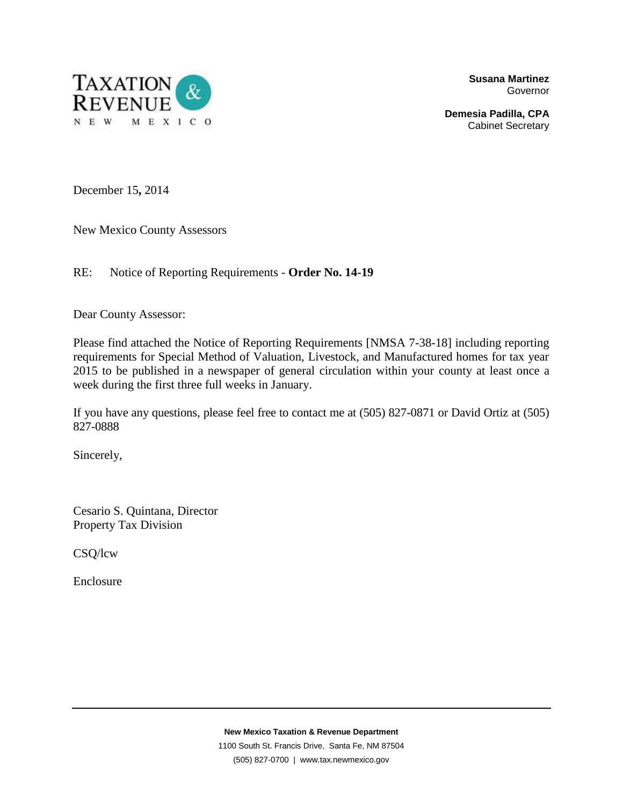

**Susana Martinez**  Governor

**Demesia Padilla, CPA**  Cabinet Secretary

December 15**,** 2014

New Mexico County Assessors

RE: Notice of Reporting Requirements - **Order No. 14-19**

Dear County Assessor:

Please find attached the Notice of Reporting Requirements [NMSA 7-38-18] including reporting requirements for Special Method of Valuation, Livestock, and Manufactured homes for tax year 2015 to be published in a newspaper of general circulation within your county at least once a week during the first three full weeks in January.

If you have any questions, please feel free to contact me at (505) 827-0871 or David Ortiz at (505) 827-0888

Sincerely,

Cesario S. Quintana, Director Property Tax Division

CSQ/lcw

Enclosure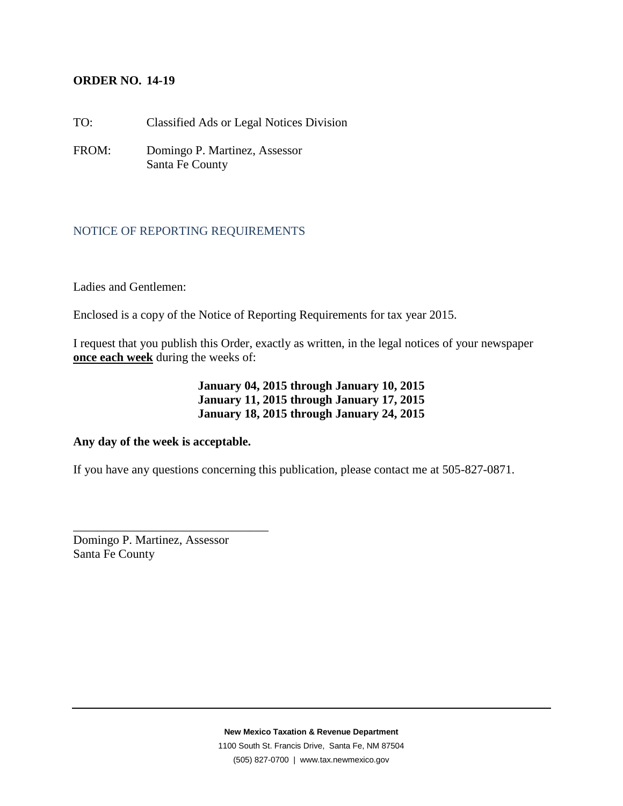## **ORDER NO. 14-19**

TO: Classified Ads or Legal Notices Division

FROM: Domingo P. Martinez, Assessor Santa Fe County

## NOTICE OF REPORTING REQUIREMENTS

Ladies and Gentlemen:

Enclosed is a copy of the Notice of Reporting Requirements for tax year 2015.

I request that you publish this Order, exactly as written, in the legal notices of your newspaper **once each week** during the weeks of:

# **January 04, 2015 through January 10, 2015 January 11, 2015 through January 17, 2015 January 18, 2015 through January 24, 2015**

#### **Any day of the week is acceptable.**

If you have any questions concerning this publication, please contact me at 505-827-0871.

Domingo P. Martinez, Assessor Santa Fe County

\_\_\_\_\_\_\_\_\_\_\_\_\_\_\_\_\_\_\_\_\_\_\_\_\_\_\_\_\_\_\_\_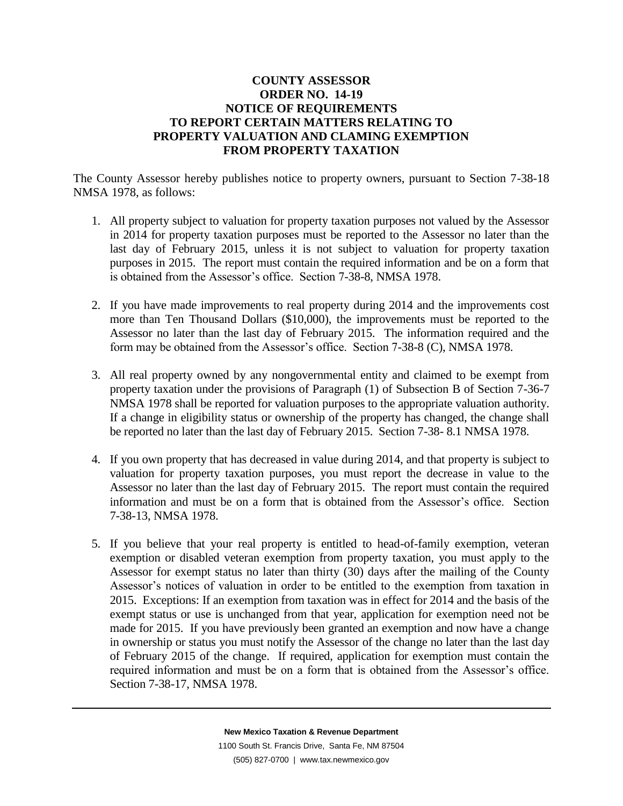# **COUNTY ASSESSOR ORDER NO. 14-19 NOTICE OF REQUIREMENTS TO REPORT CERTAIN MATTERS RELATING TO PROPERTY VALUATION AND CLAMING EXEMPTION FROM PROPERTY TAXATION**

The County Assessor hereby publishes notice to property owners, pursuant to Section 7-38-18 NMSA 1978, as follows:

- 1. All property subject to valuation for property taxation purposes not valued by the Assessor in 2014 for property taxation purposes must be reported to the Assessor no later than the last day of February 2015, unless it is not subject to valuation for property taxation purposes in 2015. The report must contain the required information and be on a form that is obtained from the Assessor's office. Section 7-38-8, NMSA 1978.
- 2. If you have made improvements to real property during 2014 and the improvements cost more than Ten Thousand Dollars (\$10,000), the improvements must be reported to the Assessor no later than the last day of February 2015. The information required and the form may be obtained from the Assessor's office. Section 7-38-8 (C), NMSA 1978.
- 3. All real property owned by any nongovernmental entity and claimed to be exempt from property taxation under the provisions of Paragraph (1) of Subsection B of Section 7-36-7 NMSA 1978 shall be reported for valuation purposes to the appropriate valuation authority. If a change in eligibility status or ownership of the property has changed, the change shall be reported no later than the last day of February 2015. Section 7-38- 8.1 NMSA 1978.
- 4. If you own property that has decreased in value during 2014, and that property is subject to valuation for property taxation purposes, you must report the decrease in value to the Assessor no later than the last day of February 2015. The report must contain the required information and must be on a form that is obtained from the Assessor's office. Section 7-38-13, NMSA 1978.
- 5. If you believe that your real property is entitled to head-of-family exemption, veteran exemption or disabled veteran exemption from property taxation, you must apply to the Assessor for exempt status no later than thirty (30) days after the mailing of the County Assessor's notices of valuation in order to be entitled to the exemption from taxation in 2015. Exceptions: If an exemption from taxation was in effect for 2014 and the basis of the exempt status or use is unchanged from that year, application for exemption need not be made for 2015. If you have previously been granted an exemption and now have a change in ownership or status you must notify the Assessor of the change no later than the last day of February 2015 of the change. If required, application for exemption must contain the required information and must be on a form that is obtained from the Assessor's office. Section 7-38-17, NMSA 1978.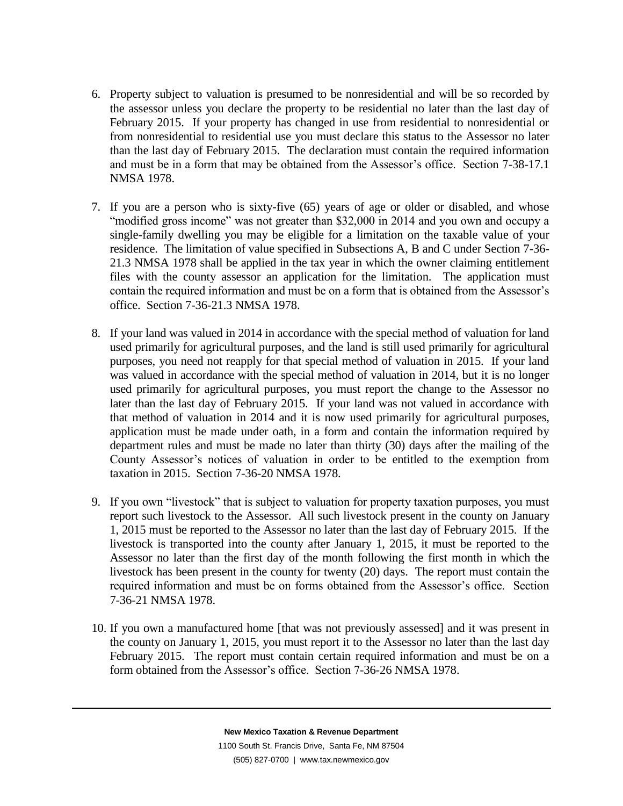- 6. Property subject to valuation is presumed to be nonresidential and will be so recorded by the assessor unless you declare the property to be residential no later than the last day of February 2015. If your property has changed in use from residential to nonresidential or from nonresidential to residential use you must declare this status to the Assessor no later than the last day of February 2015. The declaration must contain the required information and must be in a form that may be obtained from the Assessor's office. Section 7-38-17.1 NMSA 1978.
- 7. If you are a person who is sixty-five (65) years of age or older or disabled, and whose "modified gross income" was not greater than \$32,000 in 2014 and you own and occupy a single-family dwelling you may be eligible for a limitation on the taxable value of your residence. The limitation of value specified in Subsections A, B and C under Section 7-36- 21.3 NMSA 1978 shall be applied in the tax year in which the owner claiming entitlement files with the county assessor an application for the limitation. The application must contain the required information and must be on a form that is obtained from the Assessor's office. Section 7-36-21.3 NMSA 1978.
- 8. If your land was valued in 2014 in accordance with the special method of valuation for land used primarily for agricultural purposes, and the land is still used primarily for agricultural purposes, you need not reapply for that special method of valuation in 2015. If your land was valued in accordance with the special method of valuation in 2014, but it is no longer used primarily for agricultural purposes, you must report the change to the Assessor no later than the last day of February 2015. If your land was not valued in accordance with that method of valuation in 2014 and it is now used primarily for agricultural purposes, application must be made under oath, in a form and contain the information required by department rules and must be made no later than thirty (30) days after the mailing of the County Assessor's notices of valuation in order to be entitled to the exemption from taxation in 2015. Section 7-36-20 NMSA 1978.
- 9. If you own "livestock" that is subject to valuation for property taxation purposes, you must report such livestock to the Assessor. All such livestock present in the county on January 1, 2015 must be reported to the Assessor no later than the last day of February 2015. If the livestock is transported into the county after January 1, 2015, it must be reported to the Assessor no later than the first day of the month following the first month in which the livestock has been present in the county for twenty (20) days. The report must contain the required information and must be on forms obtained from the Assessor's office. Section 7-36-21 NMSA 1978.
- 10. If you own a manufactured home [that was not previously assessed] and it was present in the county on January 1, 2015, you must report it to the Assessor no later than the last day February 2015. The report must contain certain required information and must be on a form obtained from the Assessor's office. Section 7-36-26 NMSA 1978.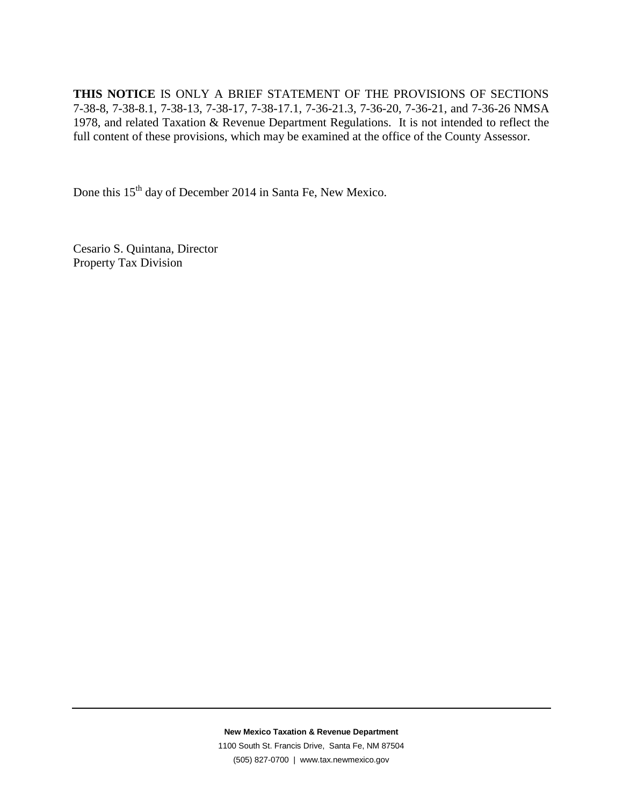**THIS NOTICE** IS ONLY A BRIEF STATEMENT OF THE PROVISIONS OF SECTIONS 7-38-8, 7-38-8.1, 7-38-13, 7-38-17, 7-38-17.1, 7-36-21.3, 7-36-20, 7-36-21, and 7-36-26 NMSA 1978, and related Taxation & Revenue Department Regulations. It is not intended to reflect the full content of these provisions, which may be examined at the office of the County Assessor.

Done this 15<sup>th</sup> day of December 2014 in Santa Fe, New Mexico.

Cesario S. Quintana, Director Property Tax Division